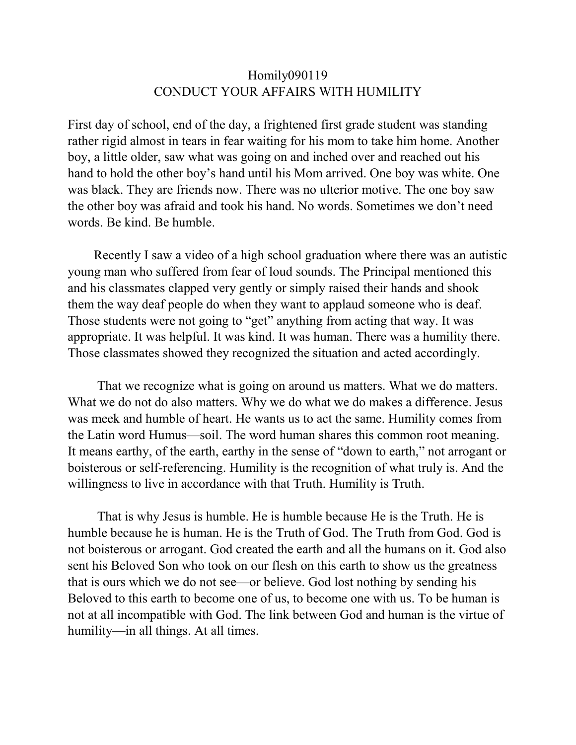## Homily090119 CONDUCT YOUR AFFAIRS WITH HUMILITY

First day of school, end of the day, a frightened first grade student was standing rather rigid almost in tears in fear waiting for his mom to take him home. Another boy, a little older, saw what was going on and inched over and reached out his hand to hold the other boy's hand until his Mom arrived. One boy was white. One was black. They are friends now. There was no ulterior motive. The one boy saw the other boy was afraid and took his hand. No words. Sometimes we don't need words. Be kind. Be humble.

 Recently I saw a video of a high school graduation where there was an autistic young man who suffered from fear of loud sounds. The Principal mentioned this and his classmates clapped very gently or simply raised their hands and shook them the way deaf people do when they want to applaud someone who is deaf. Those students were not going to "get" anything from acting that way. It was appropriate. It was helpful. It was kind. It was human. There was a humility there. Those classmates showed they recognized the situation and acted accordingly.

 That we recognize what is going on around us matters. What we do matters. What we do not do also matters. Why we do what we do makes a difference. Jesus was meek and humble of heart. He wants us to act the same. Humility comes from the Latin word Humus—soil. The word human shares this common root meaning. It means earthy, of the earth, earthy in the sense of "down to earth," not arrogant or boisterous or self-referencing. Humility is the recognition of what truly is. And the willingness to live in accordance with that Truth. Humility is Truth.

 That is why Jesus is humble. He is humble because He is the Truth. He is humble because he is human. He is the Truth of God. The Truth from God. God is not boisterous or arrogant. God created the earth and all the humans on it. God also sent his Beloved Son who took on our flesh on this earth to show us the greatness that is ours which we do not see—or believe. God lost nothing by sending his Beloved to this earth to become one of us, to become one with us. To be human is not at all incompatible with God. The link between God and human is the virtue of humility—in all things. At all times.